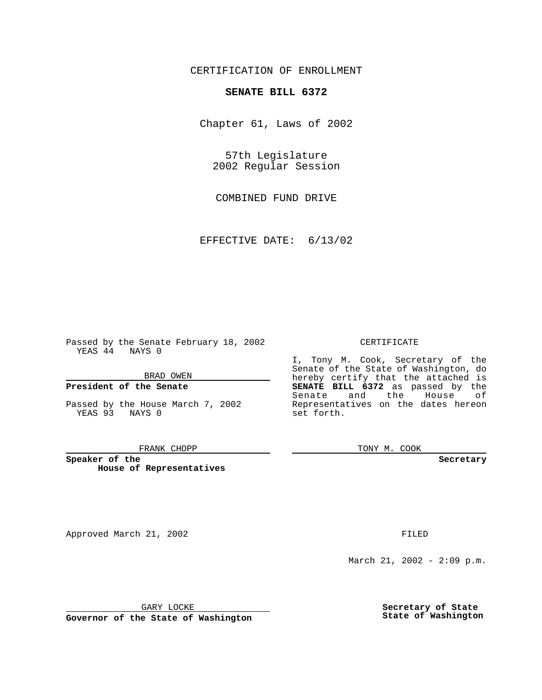CERTIFICATION OF ENROLLMENT

## **SENATE BILL 6372**

Chapter 61, Laws of 2002

57th Legislature 2002 Regular Session

COMBINED FUND DRIVE

EFFECTIVE DATE: 6/13/02

Passed by the Senate February 18, 2002 YEAS 44 NAYS 0

BRAD OWEN

### **President of the Senate**

Passed by the House March 7, 2002 YEAS 93 NAYS 0

#### FRANK CHOPP

**Speaker of the House of Representatives**

Approved March 21, 2002 **FILED** 

### CERTIFICATE

I, Tony M. Cook, Secretary of the Senate of the State of Washington, do hereby certify that the attached is **SENATE BILL 6372** as passed by the Senate and the House of Representatives on the dates hereon set forth.

TONY M. COOK

**Secretary**

March 21, 2002 - 2:09 p.m.

GARY LOCKE

**Governor of the State of Washington**

**Secretary of State State of Washington**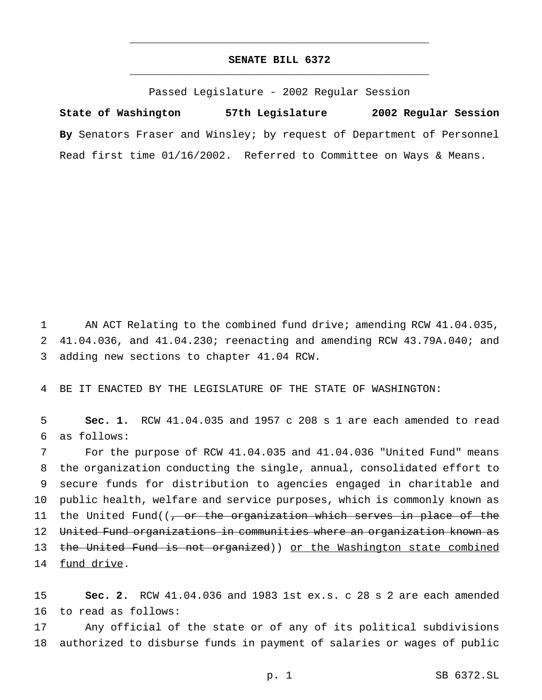# **SENATE BILL 6372** \_\_\_\_\_\_\_\_\_\_\_\_\_\_\_\_\_\_\_\_\_\_\_\_\_\_\_\_\_\_\_\_\_\_\_\_\_\_\_\_\_\_\_\_\_\_\_

\_\_\_\_\_\_\_\_\_\_\_\_\_\_\_\_\_\_\_\_\_\_\_\_\_\_\_\_\_\_\_\_\_\_\_\_\_\_\_\_\_\_\_\_\_\_\_

Passed Legislature - 2002 Regular Session

**State of Washington 57th Legislature 2002 Regular Session By** Senators Fraser and Winsley; by request of Department of Personnel Read first time 01/16/2002. Referred to Committee on Ways & Means.

1 AN ACT Relating to the combined fund drive; amending RCW 41.04.035, 2 41.04.036, and 41.04.230; reenacting and amending RCW 43.79A.040; and 3 adding new sections to chapter 41.04 RCW.

4 BE IT ENACTED BY THE LEGISLATURE OF THE STATE OF WASHINGTON:

5 **Sec. 1.** RCW 41.04.035 and 1957 c 208 s 1 are each amended to read 6 as follows:

 For the purpose of RCW 41.04.035 and 41.04.036 "United Fund" means the organization conducting the single, annual, consolidated effort to secure funds for distribution to agencies engaged in charitable and public health, welfare and service purposes, which is commonly known as 11 the United Fund((<del>, or the organization which serves in place of the</del> United Fund organizations in communities where an organization known as 13 the United Fund is not organized)) or the Washington state combined 14 fund drive.

15 **Sec. 2.** RCW 41.04.036 and 1983 1st ex.s. c 28 s 2 are each amended 16 to read as follows:

17 Any official of the state or of any of its political subdivisions 18 authorized to disburse funds in payment of salaries or wages of public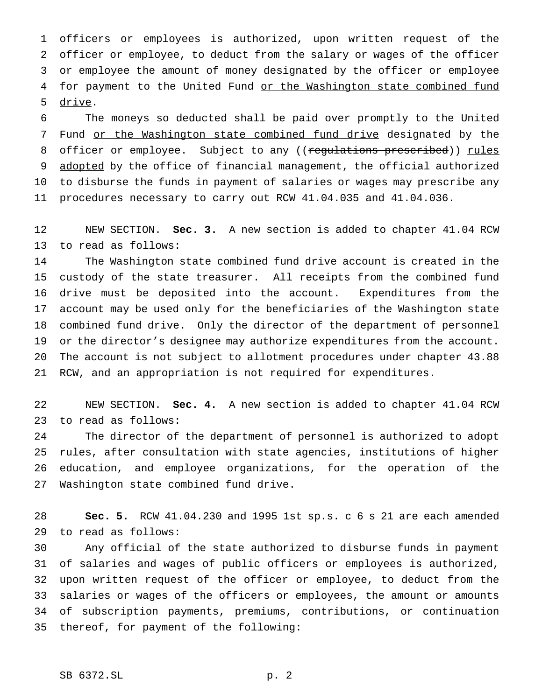officers or employees is authorized, upon written request of the officer or employee, to deduct from the salary or wages of the officer or employee the amount of money designated by the officer or employee 4 for payment to the United Fund or the Washington state combined fund drive.

 The moneys so deducted shall be paid over promptly to the United 7 Fund or the Washington state combined fund drive designated by the 8 officer or employee. Subject to any ((regulations prescribed)) rules 9 adopted by the office of financial management, the official authorized to disburse the funds in payment of salaries or wages may prescribe any procedures necessary to carry out RCW 41.04.035 and 41.04.036.

 NEW SECTION. **Sec. 3.** A new section is added to chapter 41.04 RCW to read as follows:

 The Washington state combined fund drive account is created in the custody of the state treasurer. All receipts from the combined fund drive must be deposited into the account. Expenditures from the account may be used only for the beneficiaries of the Washington state combined fund drive. Only the director of the department of personnel or the director's designee may authorize expenditures from the account. The account is not subject to allotment procedures under chapter 43.88 RCW, and an appropriation is not required for expenditures.

 NEW SECTION. **Sec. 4.** A new section is added to chapter 41.04 RCW to read as follows:

 The director of the department of personnel is authorized to adopt rules, after consultation with state agencies, institutions of higher education, and employee organizations, for the operation of the Washington state combined fund drive.

 **Sec. 5.** RCW 41.04.230 and 1995 1st sp.s. c 6 s 21 are each amended to read as follows:

 Any official of the state authorized to disburse funds in payment of salaries and wages of public officers or employees is authorized, upon written request of the officer or employee, to deduct from the salaries or wages of the officers or employees, the amount or amounts of subscription payments, premiums, contributions, or continuation thereof, for payment of the following: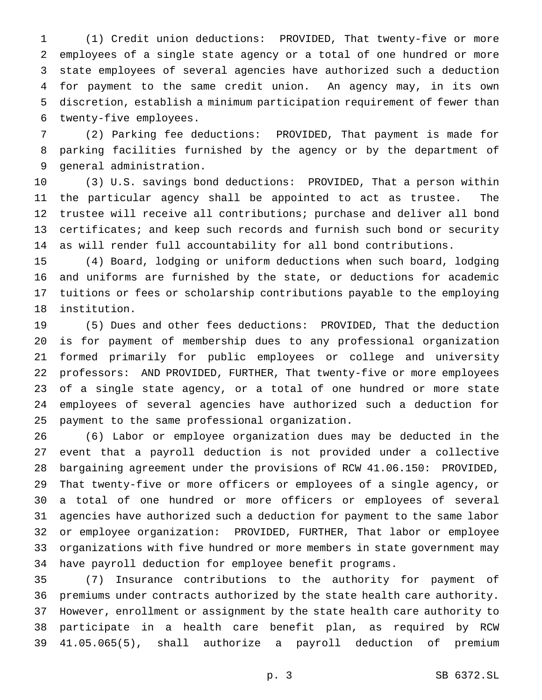(1) Credit union deductions: PROVIDED, That twenty-five or more employees of a single state agency or a total of one hundred or more state employees of several agencies have authorized such a deduction for payment to the same credit union. An agency may, in its own discretion, establish a minimum participation requirement of fewer than twenty-five employees.

 (2) Parking fee deductions: PROVIDED, That payment is made for parking facilities furnished by the agency or by the department of general administration.

 (3) U.S. savings bond deductions: PROVIDED, That a person within the particular agency shall be appointed to act as trustee. The trustee will receive all contributions; purchase and deliver all bond certificates; and keep such records and furnish such bond or security as will render full accountability for all bond contributions.

 (4) Board, lodging or uniform deductions when such board, lodging and uniforms are furnished by the state, or deductions for academic tuitions or fees or scholarship contributions payable to the employing institution.

 (5) Dues and other fees deductions: PROVIDED, That the deduction is for payment of membership dues to any professional organization formed primarily for public employees or college and university professors: AND PROVIDED, FURTHER, That twenty-five or more employees of a single state agency, or a total of one hundred or more state employees of several agencies have authorized such a deduction for payment to the same professional organization.

 (6) Labor or employee organization dues may be deducted in the event that a payroll deduction is not provided under a collective bargaining agreement under the provisions of RCW 41.06.150: PROVIDED, That twenty-five or more officers or employees of a single agency, or a total of one hundred or more officers or employees of several agencies have authorized such a deduction for payment to the same labor or employee organization: PROVIDED, FURTHER, That labor or employee organizations with five hundred or more members in state government may have payroll deduction for employee benefit programs.

 (7) Insurance contributions to the authority for payment of premiums under contracts authorized by the state health care authority. However, enrollment or assignment by the state health care authority to participate in a health care benefit plan, as required by RCW 41.05.065(5), shall authorize a payroll deduction of premium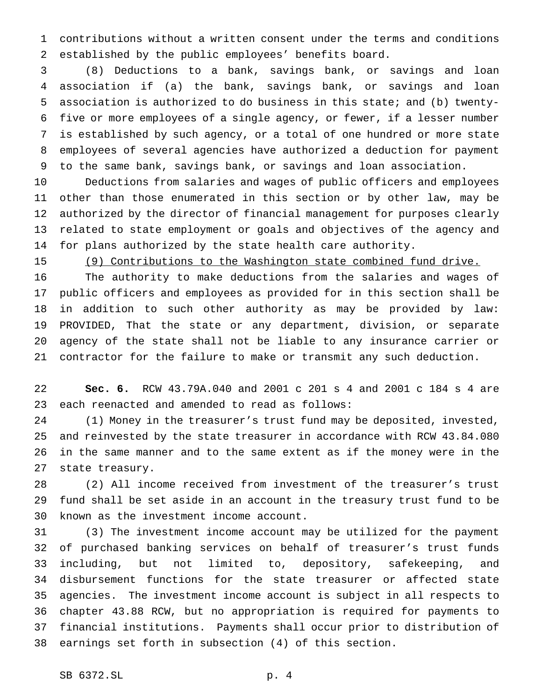contributions without a written consent under the terms and conditions established by the public employees' benefits board.

 (8) Deductions to a bank, savings bank, or savings and loan association if (a) the bank, savings bank, or savings and loan association is authorized to do business in this state; and (b) twenty- five or more employees of a single agency, or fewer, if a lesser number is established by such agency, or a total of one hundred or more state employees of several agencies have authorized a deduction for payment to the same bank, savings bank, or savings and loan association.

 Deductions from salaries and wages of public officers and employees other than those enumerated in this section or by other law, may be authorized by the director of financial management for purposes clearly related to state employment or goals and objectives of the agency and for plans authorized by the state health care authority.

(9) Contributions to the Washington state combined fund drive.

 The authority to make deductions from the salaries and wages of public officers and employees as provided for in this section shall be in addition to such other authority as may be provided by law: PROVIDED, That the state or any department, division, or separate agency of the state shall not be liable to any insurance carrier or contractor for the failure to make or transmit any such deduction.

 **Sec. 6.** RCW 43.79A.040 and 2001 c 201 s 4 and 2001 c 184 s 4 are each reenacted and amended to read as follows:

 (1) Money in the treasurer's trust fund may be deposited, invested, and reinvested by the state treasurer in accordance with RCW 43.84.080 in the same manner and to the same extent as if the money were in the state treasury.

 (2) All income received from investment of the treasurer's trust fund shall be set aside in an account in the treasury trust fund to be known as the investment income account.

 (3) The investment income account may be utilized for the payment of purchased banking services on behalf of treasurer's trust funds including, but not limited to, depository, safekeeping, and disbursement functions for the state treasurer or affected state agencies. The investment income account is subject in all respects to chapter 43.88 RCW, but no appropriation is required for payments to financial institutions. Payments shall occur prior to distribution of earnings set forth in subsection (4) of this section.